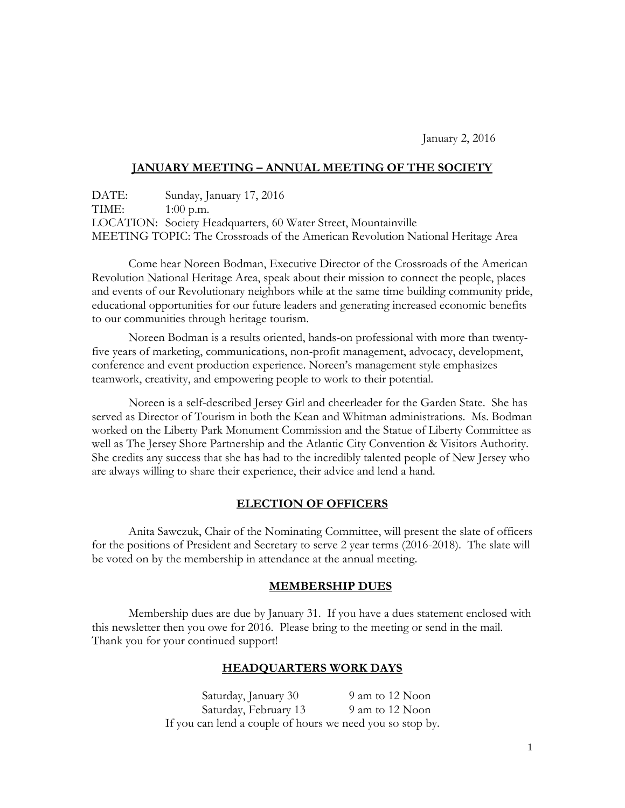January 2, 2016

# **JANUARY MEETING – ANNUAL MEETING OF THE SOCIETY**

DATE: Sunday, January 17, 2016 TIME: 1:00 p.m. LOCATION: Society Headquarters, 60 Water Street, Mountainville MEETING TOPIC: The Crossroads of the American Revolution National Heritage Area

Come hear Noreen Bodman, Executive Director of the Crossroads of the American Revolution National Heritage Area, speak about their mission to connect the people, places and events of our Revolutionary neighbors while at the same time building community pride, educational opportunities for our future leaders and generating increased economic benefits to our communities through heritage tourism.

Noreen Bodman is a results oriented, hands-on professional with more than twentyfive years of marketing, communications, non-profit management, advocacy, development, conference and event production experience. Noreen's management style emphasizes teamwork, creativity, and empowering people to work to their potential.

Noreen is a self-described Jersey Girl and cheerleader for the Garden State. She has served as Director of Tourism in both the Kean and Whitman administrations. Ms. Bodman worked on the Liberty Park Monument Commission and the Statue of Liberty Committee as well as The Jersey Shore Partnership and the Atlantic City Convention & Visitors Authority. She credits any success that she has had to the incredibly talented people of New Jersey who are always willing to share their experience, their advice and lend a hand.

#### **ELECTION OF OFFICERS**

Anita Sawczuk, Chair of the Nominating Committee, will present the slate of officers for the positions of President and Secretary to serve 2 year terms (2016-2018). The slate will be voted on by the membership in attendance at the annual meeting.

#### **MEMBERSHIP DUES**

Membership dues are due by January 31. If you have a dues statement enclosed with this newsletter then you owe for 2016. Please bring to the meeting or send in the mail. Thank you for your continued support!

# **HEADQUARTERS WORK DAYS**

Saturday, January 30 9 am to 12 Noon Saturday, February 13 9 am to 12 Noon If you can lend a couple of hours we need you so stop by.